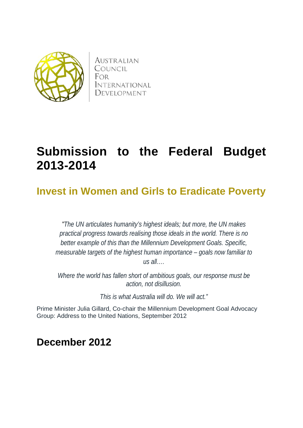

**AUSTRALIAN** COUNCIL FOR *INTERNATIONAL* DEVELOPMENT

# **Submission to the Federal Budget 2013-2014**

## **Invest in Women and Girls to Eradicate Poverty**

*"The UN articulates humanity's highest ideals; but more, the UN makes practical progress towards realising those ideals in the world. There is no better example of this than the Millennium Development Goals. Specific, measurable targets of the highest human importance – goals now familiar to us all….*

*Where the world has fallen short of ambitious goals, our response must be action, not disillusion.*

*This is what Australia will do. We will act."*

Prime Minister Julia Gillard, Co-chair the Millennium Development Goal Advocacy Group: Address to the United Nations, September 2012

**December 2012**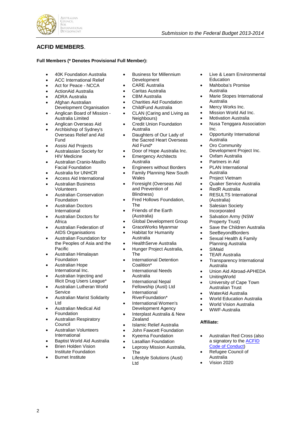

### **ACFID MEMBERS**.

#### **Full Members (\* Denotes Provisional Full Member):**

- 40K Foundation Australia
- ACC International Relief
- Act for Peace NCCA
- ActionAid Australia
- ADRA Australia
- Afghan Australian
- Development Organisation • Anglican Board of Mission -
- Australia Limited • Anglican Overseas Aid
- Archbishop of Sydney's
- Overseas Relief and Aid Fund
- Assisi Aid Projects
- Australasian Society for HIV Medicine
- Australian Cranio-Maxillo Facial Foundation
- Australia for UNHCR
- Access Aid International
- Australian Business Volunteers
- Australian Conservation Foundation
- Australian Doctors International
- Australian Doctors for Africa
- Australian Federation of AIDS Organisations
- Australian Foundation for the Peoples of Asia and the Pacific
- Australian Himalayan **Foundation**
- Australian Hope International Inc.
- Australian Injecting and Illicit Drug Users League\*
- Australian Lutheran World Service
- Australian Marist Solidarity Ltd
- Australian Medical Aid Foundation
- Australian Respiratory Council
- Australian Volunteers International
- Baptist World Aid Australia
- Brien Holden Vision Institute Foundation
- **Burnet Institute**

2

- Business for Millennium **Development**
- CARE Australia
- Caritas Australia
- CBM Australia
- Charities Aid Foundation
- ChildFund Australia
- CLAN (Caring and Living as Neighbours)
- **Credit Union Foundation** Australia
- Daughters of Our Lady of the Sacred Heart Overseas Aid Fund\*
- Door of Hope Australia Inc.
- **Emergency Architects** Australia
- Engineers without Borders
- Family Planning New South
	- Wales
- Foresight (Overseas Aid and Prevention of Blindness)
- Fred Hollows Foundation, The
- Friends of the Earth (Australia)
- Global Development Group
- GraceWorks Myanmar
- Habitat for Humanity Australia
- HealthServe Australia
- Hunger Project Australia, The
- International Detention Coalition\*
- International Needs Australia
- International Nepal
- Fellowship (Aust) Ltd **International**
- RiverFoundation\* • International Women's
- Development Agency
- Interplast Australia & New **Zealand**
- Islamic Relief Australia
- John Fawcett Foundation
- Kyeema Foundation
- Lasallian Foundation
- Leprosy Mission Australia, The
- Lifestyle Solutions (Aust) Ltd
- Live & Learn Environmental Education
- Mahboba's Promise Australia

*Submission to the Federal Budget 2013-2014*

- Marie Stopes International Australia
- Mercy Works Inc.
- Mission World Aid Inc.
- **Motivation Australia**
- Nusa Tenggara Association Inc.
- Opportunity International Australia
- **Oro Community** Development Project Inc.
- Oxfam Australia
- Partners in Aid
- PLAN International Australia
- Project Vietnam
- Quaker Service Australia
- RedR Australia
- RESULTS International (Australia)
- Salesian Society Incorporated
- Salvation Army (NSW Property Trust)
- Save the Children Australia
- SeeBeyondBorders
- Sexual Health & Family Planning Australia
- SIMaid
- TEAR Australia
- Transparency International Australia
- Union Aid Abroad-APHEDA
- UnitingWorld

**Affiliate:**

Australia • Vision 2020

- University of Cape Town Australian Trust
- WaterAid Australia
- World Education Australia

• Australian Red Cross (also a signatory to the [ACFID](http://www.acfid.asn.au/about-acfid/inside-acfid/resolveUid/587ca0b9afdca05a1e795e8633a00047)  [Code of Conduct\)](http://www.acfid.asn.au/about-acfid/inside-acfid/resolveUid/587ca0b9afdca05a1e795e8633a00047) • Refugee Council of

• World Vision Australia • WWF-Australia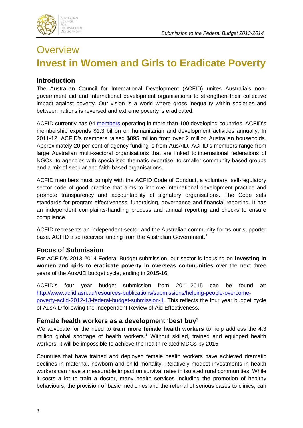

## **Overview Invest in Women and Girls to Eradicate Poverty**

## **Introduction**

The Australian Council for International Development (ACFID) unites Australia's nongovernment aid and international development organisations to strengthen their collective impact against poverty. Our vision is a world where gross inequality within societies and between nations is reversed and extreme poverty is eradicated.

ACFID currently has 94 [members](http://www.acfid.asn.au/about-acfid/inside-acfid/current-members) operating in more than 100 developing countries. ACFID's membership expends \$1.3 billion on humanitarian and development activities annually. In 2011-12, ACFID's members raised \$895 million from over 2 million Australian households. Approximately 20 per cent of agency funding is from AusAID. ACFID's members range from large Australian multi-sectoral organisations that are linked to international federations of NGOs, to agencies with specialised thematic expertise, to smaller community-based groups and a mix of secular and faith-based organisations.

ACFID members must comply with the ACFID Code of Conduct, a voluntary, self-regulatory sector code of good practice that aims to improve international development practice and promote transparency and accountability of signatory organisations. The Code sets standards for program effectiveness, fundraising, governance and financial reporting. It has an independent complaints-handling process and annual reporting and checks to ensure compliance.

ACFID represents an independent sector and the Australian community forms our supporter base. ACFID also receives funding from the Australian Government.<sup>[1](#page-12-0)</sup>

### **Focus of Submission**

For ACFID's 2013-2014 Federal Budget submission, our sector is focusing on **investing in women and girls to eradicate poverty in overseas communities** over the next three years of the AusAID budget cycle, ending in 2015-16.

ACFID's four year budget submission from 2011-2015 can be found at: [http://www.acfid.asn.au/resources-publications/submissions/helping-people-overcome](http://www.acfid.asn.au/resources-publications/submissions/helping-people-overcome-poverty-acfid-2012-13-federal-budget-submission-1)[poverty-acfid-2012-13-federal-budget-submission-1.](http://www.acfid.asn.au/resources-publications/submissions/helping-people-overcome-poverty-acfid-2012-13-federal-budget-submission-1) This reflects the four year budget cycle of AusAID following the Independent Review of Aid Effectiveness.

### **Female health workers as a development 'best buy'**

We advocate for the need to **train more female health workers** to help address the 4.3 million global shortage of health workers.<sup>[2](#page-12-1)</sup> Without skilled, trained and equipped health workers, it will be impossible to achieve the health-related MDGs by 2015.

Countries that have trained and deployed female health workers have achieved dramatic declines in maternal, newborn and child mortality. Relatively modest investments in health workers can have a measurable impact on survival rates in isolated rural communities. While it costs a lot to train a doctor, many health services including the promotion of healthy behaviours, the provision of basic medicines and the referral of serious cases to clinics, can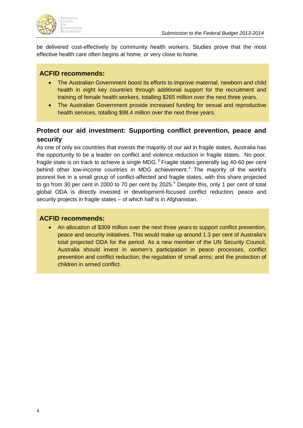

be delivered cost-effectively by community health workers. Studies prove that the most effective health care often begins at home, or very close to home.

## **ACFID recommends:**

- The Australian Government boost its efforts to improve maternal, newborn and child health in eight key countries through additional support for the recruitment and training of female health workers, totalling \$265 million over the next three years.
- The Australian Government provide increased funding for sexual and reproductive health services, totalling \$98.4 million over the next three years.

## **Protect our aid investment: Supporting conflict prevention, peace and security**

As one of only six countries that invests the majority of our aid in fragile states, Australia has the opportunity to be a leader on conflict and violence reduction in fragile states. No poor, fragile state is on track to achieve a single MDG. $3$  Fragile states generally lag 40-60 per cent behind other low-income countries in MDG achievement.<sup>[4](#page-12-3)</sup> The majority of the world's poorest live in a small group of conflict-affected and fragile states, with this share projected to go from 30 per cent in 2000 to 70 per cent by 202[5](#page-12-4). $5$  Despite this, only 1 per cent of total global ODA is directly invested in development-focused conflict reduction, peace and security projects in fragile states – of which half is in Afghanistan.

### **ACFID recommends:**

• An allocation of \$309 million over the next three years to support conflict prevention, peace and security initiatives. This would make up around 1.3 per cent of Australia's total projected ODA for the period. As a new member of the UN Security Council, Australia should invest in women's participation in peace processes, conflict prevention and conflict reduction; the regulation of small arms; and the protection of children in armed conflict.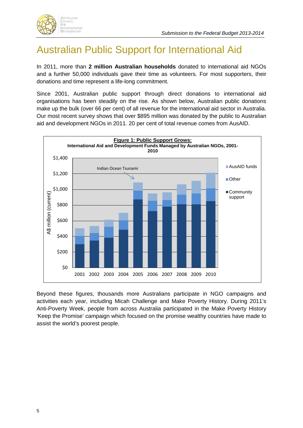

## Australian Public Support for International Aid

In 2011, more than **2 million Australian households** donated to international aid NGOs and a further 50,000 individuals gave their time as volunteers. For most supporters, their donations and time represent a life-long commitment.

Since 2001, Australian public support through direct donations to international aid organisations has been steadily on the rise. As shown below, Australian public donations make up the bulk (over 66 per cent) of all revenue for the international aid sector in Australia. Our most recent survey shows that over \$895 million was donated by the public to Australian aid and development NGOs in 2011. 20 per cent of total revenue comes from AusAID.



Beyond these figures, thousands more Australians participate in NGO campaigns and activities each year, including Micah Challenge and Make Poverty History. During 2011's Anti-Poverty Week, people from across Australia participated in the Make Poverty History 'Keep the Promise' campaign which focused on the promise wealthy countries have made to assist the world's poorest people.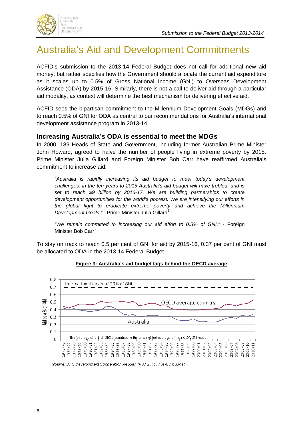

## Australia's Aid and Development Commitments

ACFID's submission to the 2013-14 Federal Budget does not call for additional new aid money, but rather specifies how the Government should allocate the current aid expenditure as it scales up to 0.5% of Gross National Income (GNI) to Overseas Development Assistance (ODA) by 2015-16. Similarly, there is not a call to deliver aid through a particular aid modality, as context will determine the best mechanism for delivering effective aid.

ACFID sees the bipartisan commitment to the Millennium Development Goals (MDGs) and to reach 0.5% of GNI for ODA as central to our recommendations for Australia's international development assistance program in 2013-14.

### **Increasing Australia's ODA is essential to meet the MDGs**

In 2000, 189 Heads of State and Government, including former Australian Prime Minister John Howard, agreed to halve the number of people living in extreme poverty by 2015. Prime Minister Julia Gillard and Foreign Minister Bob Carr have reaffirmed Australia's commitment to increase aid:

*"Australia is rapidly increasing its aid budget to meet today's development challenges: in the ten years to 2015 Australia's aid budget will have trebled, and is set to reach \$9 billion by 2016-17. We are building partnerships to create development opportunities for the world's poorest. We are intensifying our efforts in the global fight to eradicate extreme poverty and achieve the Millennium Development Goals."* - Prime Minister Julia Gillard<sup>[6](#page-12-5)</sup>

*"We remain committed to increasing our aid effort to 0.5% of GNI."* - Foreign Minister Bob Carr<sup>[7](#page-12-6)</sup>

To stay on track to reach 0.5 per cent of GNI for aid by 2015-16, 0.37 per cent of GNI must be allocated to ODA in the 2013-14 Federal Budget.



#### **Figure 3: Australia's aid budget lags behind the OECD average**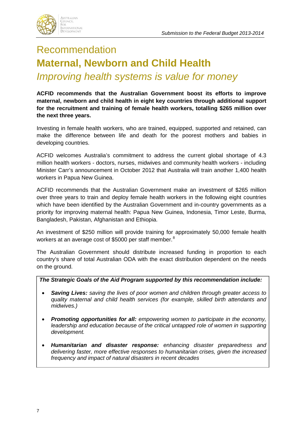

## Recommendation **Maternal, Newborn and Child Health** *Improving health systems is value for money*

**ACFID recommends that the Australian Government boost its efforts to improve maternal, newborn and child health in eight key countries through additional support for the recruitment and training of female health workers, totalling \$265 million over the next three years.**

Investing in female health workers, who are trained, equipped, supported and retained, can make the difference between life and death for the poorest mothers and babies in developing countries.

ACFID welcomes Australia's commitment to address the current global shortage of 4.3 million health workers - doctors, nurses, midwives and community health workers - including Minister Carr's announcement in October 2012 that Australia will train another 1,400 health workers in Papua New Guinea.

ACFID recommends that the Australian Government make an investment of \$265 million over three years to train and deploy female health workers in the following eight countries which have been identified by the Australian Government and in-country governments as a priority for improving maternal health: Papua New Guinea, Indonesia, Timor Leste, Burma, Bangladesh, Pakistan, Afghanistan and Ethiopia.

An investment of \$250 million will provide training for approximately 50,000 female health workers at an average cost of \$5000 per staff member.<sup>[8](#page-12-7)</sup>

The Australian Government should distribute increased funding in proportion to each country's share of total Australian ODA with the exact distribution dependent on the needs on the ground.

### *The Strategic Goals of the Aid Program supported by this recommendation include:*

- *Saving Lives: saving the lives of poor women and children through greater access to quality maternal and child health services (for example, skilled birth attendants and midwives.)*
- *Promoting opportunities for all: empowering women to participate in the economy, leadership and education because of the critical untapped role of women in supporting development.*
- *Humanitarian and disaster response: enhancing disaster preparedness and delivering faster, more effective responses to humanitarian crises, given the increased frequency and impact of natural disasters in recent decades*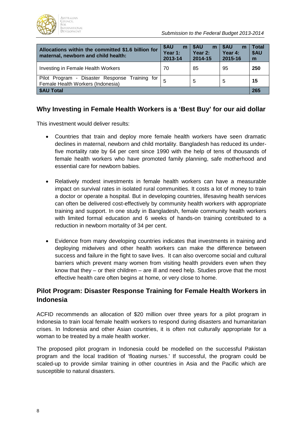

| Allocations within the committed \$1.6 billion for<br>maternal, newborn and child health: | <b>SAU</b><br>m<br>Year 1:<br>2013-14 | \$AU<br>m<br>Year 2:<br>2014-15 | <b>SAU</b><br>m<br>Year 4:<br>2015-16 | <b>Total</b><br>\$AU<br>m |
|-------------------------------------------------------------------------------------------|---------------------------------------|---------------------------------|---------------------------------------|---------------------------|
| Investing in Female Health Workers                                                        | 70                                    | 85                              | 95                                    | 250                       |
| Pilot Program - Disaster Response Training for<br>Female Health Workers (Indonesia)       |                                       | 5                               | 5                                     | 15                        |
| \$AU Total                                                                                |                                       |                                 |                                       |                           |

## **Why Investing in Female Health Workers is a 'Best Buy' for our aid dollar**

This investment would deliver results:

- Countries that train and deploy more female health workers have seen dramatic declines in maternal, newborn and child mortality. Bangladesh has reduced its underfive mortality rate by 64 per cent since 1990 with the help of tens of thousands of female health workers who have promoted family planning, safe motherhood and essential care for newborn babies.
- Relatively modest investments in female health workers can have a measurable impact on survival rates in isolated rural communities. It costs a lot of money to train a doctor or operate a hospital. But in developing countries, lifesaving health services can often be delivered cost-effectively by community health workers with appropriate training and support. In one study in Bangladesh, female community health workers with limited formal education and 6 weeks of hands-on training contributed to a reduction in newborn mortality of 34 per cent.
- Evidence from many developing countries indicates that investments in training and deploying midwives and other health workers can make the difference between success and failure in the fight to save lives. It can also overcome social and cultural barriers which prevent many women from visiting health providers even when they know that they – or their children – are ill and need help. Studies prove that the most effective health care often begins at home, or very close to home.

## **Pilot Program: Disaster Response Training for Female Health Workers in Indonesia**

ACFID recommends an allocation of \$20 million over three years for a pilot program in Indonesia to train local female health workers to respond during disasters and humanitarian crises. In Indonesia and other Asian countries, it is often not culturally appropriate for a woman to be treated by a male health worker.

The proposed pilot program in Indonesia could be modelled on the successful Pakistan program and the local tradition of 'floating nurses.' If successful, the program could be scaled-up to provide similar training in other countries in Asia and the Pacific which are susceptible to natural disasters.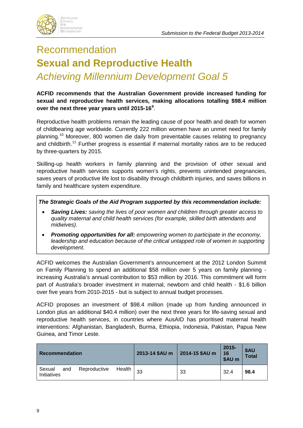

## Recommendation **Sexual and Reproductive Health**  *Achieving Millennium Development Goal 5*

**ACFID recommends that the Australian Government provide increased funding for sexual and reproductive health services, making allocations totalling \$98.4 million over the next three year years until 2015-16[9](#page-12-8)** .

Reproductive health problems remain the leading cause of poor health and death for women of childbearing age worldwide. Currently 222 million women have an unmet need for family planning.[10](#page-12-9) Moreover, 800 women die daily from preventable causes relating to pregnancy and childbirth.<sup>[11](#page-12-10)</sup> Further progress is essential if maternal mortality ratios are to be reduced by three-quarters by 2015.

Skilling-up health workers in family planning and the provision of other sexual and reproductive health services supports women's rights, prevents unintended pregnancies, saves years of productive life lost to disability through childbirth injuries, and saves billions in family and healthcare system expenditure.

*The Strategic Goals of the Aid Program supported by this recommendation include:*

- *Saving Lives: saving the lives of poor women and children through greater access to quality maternal and child health services (for example, skilled birth attendants and midwives).*
- *Promoting opportunities for all: empowering women to participate in the economy, leadership and education because of the critical untapped role of women in supporting development.*

ACFID welcomes the Australian Government's announcement at the 2012 London Summit on Family Planning to spend an additional \$58 million over 5 years on family planning increasing Australia's annual contribution to \$53 million by 2016. This commitment will form part of Australia's broader investment in maternal, newborn and child health - \$1.6 billion over five years from 2010-2015 - but is subject to annual budget processes.

ACFID proposes an investment of \$98.4 million (made up from funding announced in London plus an additional \$40.4 million) over the next three years for life-saving sexual and reproductive health services, in countries where AusAID has prioritised maternal health interventions: Afghanistan, Bangladesh, Burma, Ethiopia, Indonesia, Pakistan, Papua New Guinea, and Timor Leste.

| <b>Recommendation</b>                                  | 2013-14 \$AU m 2014-15 \$AU m |    | $2015 -$<br>16<br>\$AU m | \$AU<br>Total |
|--------------------------------------------------------|-------------------------------|----|--------------------------|---------------|
| Health<br>Reproductive<br>Sexual<br>and<br>Initiatives | 33                            | 33 | 32.4                     | 98.4          |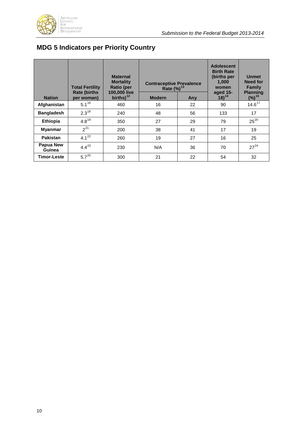

## **MDG 5 Indicators per Priority Country**

|                     | <b>Total Fertility</b><br><b>Rate (births)</b> | <b>Maternal</b><br><b>Mortality</b><br><b>Ratio (per</b><br>100,000 live | <b>Contraceptive Prevalence</b><br>Rate $(%)^{13}$ |     | <b>Adolescent</b><br><b>Birth Rate</b><br>(births per<br>1.000<br>women<br>aged 15- | <b>Unmet</b><br>Need for<br><b>Family</b><br><b>Planning</b> |
|---------------------|------------------------------------------------|--------------------------------------------------------------------------|----------------------------------------------------|-----|-------------------------------------------------------------------------------------|--------------------------------------------------------------|
| <b>Nation</b>       | per woman)                                     | births) $12$                                                             | <b>Modern</b>                                      | Any | $18)^{14}$                                                                          | $(%)^{15}$                                                   |
| Afghanistan         | $5.1^{16}$                                     | 460                                                                      | 16                                                 | 22  | 90                                                                                  | $14.6^{17}$                                                  |
| <b>Bangladesh</b>   | $2.3^{18}$                                     | 240                                                                      | 48                                                 | 56  | 133                                                                                 | 17                                                           |
| Ethiopia            | $4.8^{19}$                                     | 350                                                                      | 27                                                 | 29  | 79                                                                                  | $25^{20}$                                                    |
| Myanmar             | $2^{21}$                                       | 200                                                                      | 38                                                 | 41  | 17                                                                                  | 19                                                           |
| Pakistan            | $4.1^{22}$                                     | 260                                                                      | 19                                                 | 27  | 16                                                                                  | 25                                                           |
| Papua New<br>Guinea | $4.4^{23}$                                     | 230                                                                      | N/A                                                | 36  | 70                                                                                  | $27^{24}$                                                    |
| <b>Timor-Leste</b>  | $5.7^{25}$                                     | 300                                                                      | 21                                                 | 22  | 54                                                                                  | 32                                                           |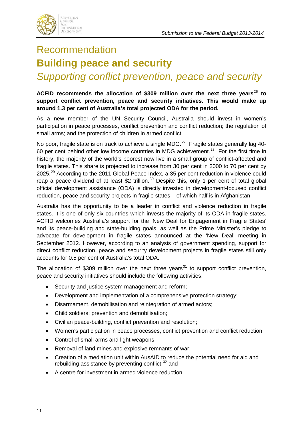

## Recommendation **Building peace and security**

## *Supporting conflict prevention, peace and security*

### **ACFID recommends the allocation of \$309 million over the next three years**[26](#page-12-25) **to support conflict prevention, peace and security initiatives. This would make up around 1.3 per cent of Australia's total projected ODA for the period.**

As a new member of the UN Security Council, Australia should invest in women's participation in peace processes, conflict prevention and conflict reduction; the regulation of small arms; and the protection of children in armed conflict.

No poor, fragile state is on track to achieve a single MDG.<sup>[27](#page-12-26)</sup> Fragile states generally lag 40-60 per cent behind other low income countries in MDG achievement.<sup>[28](#page-12-27)</sup> For the first time in history, the majority of the world's poorest now live in a small group of conflict-affected and fragile states. This share is projected to increase from 30 per cent in 2000 to 70 per cent by 2025.<sup>[29](#page-12-28)</sup> According to the 2011 Global Peace Index, a 35 per cent reduction in violence could reap a peace dividend of at least \$2 trillion.<sup>[30](#page-12-29)</sup> Despite this, only 1 per cent of total global official development assistance (ODA) is directly invested in development-focused conflict reduction, peace and security projects in fragile states – of which half is in Afghanistan

Australia has the opportunity to be a leader in conflict and violence reduction in fragile states. It is one of only six countries which invests the majority of its ODA in fragile states. ACFID welcomes Australia's support for the 'New Deal for Engagement in Fragile States' and its peace-building and state-building goals, as well as the Prime Minister's pledge to advocate for development in fragile states announced at the 'New Deal' meeting in September 2012. However, according to an analysis of government spending, support for direct conflict reduction, peace and security development projects in fragile states still only accounts for 0.5 per cent of Australia's total ODA.

The allocation of \$309 million over the next three years<sup>[31](#page-12-30)</sup> to support conflict prevention, peace and security initiatives should include the following activities:

- Security and justice system management and reform;
- Development and implementation of a comprehensive protection strategy;
- Disarmament, demobilisation and reintegration of armed actors;
- Child soldiers: prevention and demobilisation;
- Civilian peace-building, conflict prevention and resolution;
- Women's participation in peace processes, conflict prevention and conflict reduction;
- Control of small arms and light weapons;
- Removal of land mines and explosive remnants of war;
- Creation of a mediation unit within AusAID to reduce the potential need for aid and rebuilding assistance by preventing conflict; $32$  and
- A centre for investment in armed violence reduction.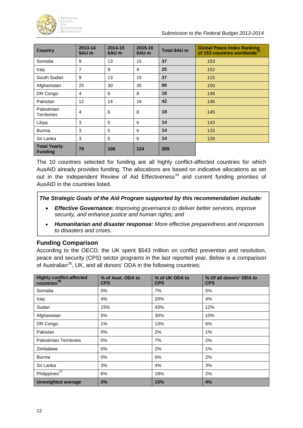

| <b>Country</b>                        | 2013-14<br>\$AU m | 2014-15<br>\$AU m | 2015-16<br>\$AU m | Total \$AU m | <b>Global Peace Index Ranking</b><br>of 153 countries worldwide <sup>3</sup> |
|---------------------------------------|-------------------|-------------------|-------------------|--------------|------------------------------------------------------------------------------|
| Somalia                               | 9                 | 13                | 15                | 37           | 153                                                                          |
| Iraq                                  | 7                 | 9                 | 9                 | 25           | 152                                                                          |
| South Sudan                           | 9                 | 13                | 15                | 37           | 115                                                                          |
| Afghanistan                           | 25                | 30                | 35                | 90           | 150                                                                          |
| DR Congo                              | 4                 | 6                 | 8                 | 18           | 148                                                                          |
| Pakistan                              | 12                | 14                | 16                | 42           | 146                                                                          |
| Palestinian<br><b>Territories</b>     | $\overline{4}$    | 6                 | 8                 | 18           | 145                                                                          |
| Libya                                 | 3                 | 5                 | 6                 | 14           | 143                                                                          |
| <b>Burma</b>                          | 3                 | 5                 | 6                 | 14           | 133                                                                          |
| Sri Lanka                             | 3                 | 5                 | 6                 | 14           | 126                                                                          |
| <b>Total Yearly</b><br><b>Funding</b> | 79                | 106               | 124               | 309          |                                                                              |

The 10 countries selected for funding are all highly conflict-affected countries for which AusAID already provides funding. The allocations are based on indicative allocations as set out in the Independent Review of Aid Effectiveness<sup>[34](#page-12-33)</sup> and current funding priorities of AusAID in the countries listed.

#### *The Strategic Goals of the Aid Program supported by this recommendation include:*

- *Effective Governance: Improving governance to deliver better services, improve security, and enhance justice and human rights; and*
- *Humanitarian and disaster response: More effective preparedness and responses to disasters and crises.*

### **Funding Comparison**

According to the OECD, the UK spent \$543 million on conflict prevention and resolution, peace and security (CPS) sector programs in the last reported year. Below is a comparison of Australian<sup>[35](#page-12-34)</sup>, UK, and all donors' ODA in the following countries:

| <b>Highly conflict-affected</b><br>countries <sup>36</sup> | % of Aust. ODA to<br><b>CPS</b> | % of UK ODA to<br><b>CPS</b> | % Of all donors' ODA to<br><b>CPS</b> |
|------------------------------------------------------------|---------------------------------|------------------------------|---------------------------------------|
| Somalia                                                    | $0\%$                           | 7%                           | 5%                                    |
| Iraq                                                       | 4%                              | 20%                          | 4%                                    |
| Sudan                                                      | 15%                             | 43%                          | 12%                                   |
| Afghanistan                                                | 5%                              | 30%                          | 10%                                   |
| DR Congo                                                   | 1%                              | 13%                          | 6%                                    |
| Pakistan                                                   | $0\%$                           | 2%                           | 1%                                    |
| <b>Palestinian Territories</b>                             | $0\%$                           | 7%                           | 2%                                    |
| Zimbabwe                                                   | $0\%$                           | 2%                           | 1%                                    |
| Burma                                                      | $0\%$                           | $0\%$                        | 2%                                    |
| Sri Lanka                                                  | 3%                              | 4%                           | 3%                                    |
| Philippines <sup>37</sup>                                  | 6%                              | 19%                          | 2%                                    |
| <b>Unweighted average</b>                                  | 3%                              | 13%                          | 4%                                    |